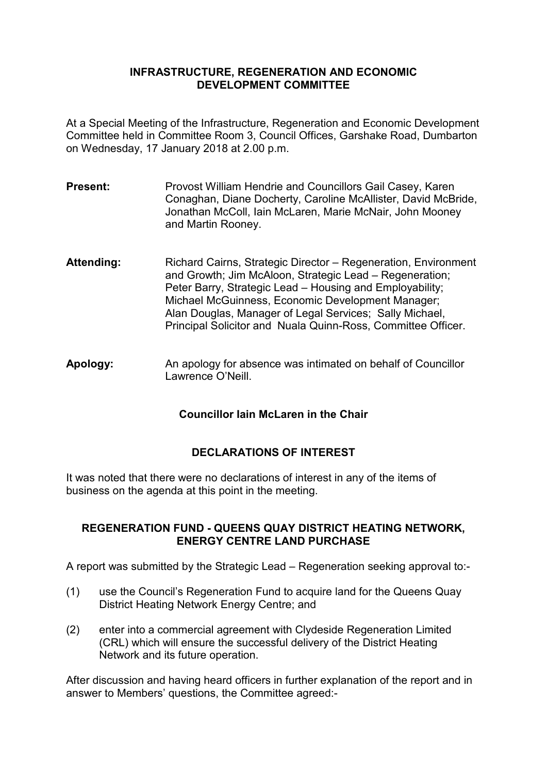## **INFRASTRUCTURE, REGENERATION AND ECONOMIC DEVELOPMENT COMMITTEE**

At a Special Meeting of the Infrastructure, Regeneration and Economic Development Committee held in Committee Room 3, Council Offices, Garshake Road, Dumbarton on Wednesday, 17 January 2018 at 2.00 p.m.

- **Present:** Provost William Hendrie and Councillors Gail Casey, Karen Conaghan, Diane Docherty, Caroline McAllister, David McBride, Jonathan McColl, Iain McLaren, Marie McNair, John Mooney and Martin Rooney.
- Attending: Richard Cairns, Strategic Director Regeneration, Environment and Growth; Jim McAloon, Strategic Lead – Regeneration; Peter Barry, Strategic Lead – Housing and Employability; Michael McGuinness, Economic Development Manager; Alan Douglas, Manager of Legal Services; Sally Michael, Principal Solicitor and Nuala Quinn-Ross, Committee Officer.
- **Apology:** An apology for absence was intimated on behalf of Councillor Lawrence O'Neill.

## **Councillor Iain McLaren in the Chair**

## **DECLARATIONS OF INTEREST**

It was noted that there were no declarations of interest in any of the items of business on the agenda at this point in the meeting.

## **REGENERATION FUND - QUEENS QUAY DISTRICT HEATING NETWORK, ENERGY CENTRE LAND PURCHASE**

A report was submitted by the Strategic Lead – Regeneration seeking approval to:-

- (1) use the Council's Regeneration Fund to acquire land for the Queens Quay District Heating Network Energy Centre; and
- (2) enter into a commercial agreement with Clydeside Regeneration Limited (CRL) which will ensure the successful delivery of the District Heating Network and its future operation.

After discussion and having heard officers in further explanation of the report and in answer to Members' questions, the Committee agreed:-